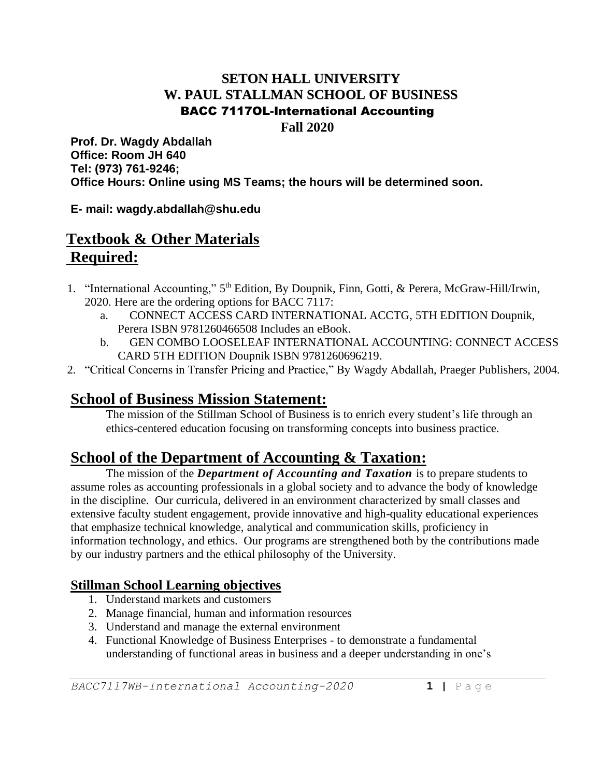### **SETON HALL UNIVERSITY W. PAUL STALLMAN SCHOOL OF BUSINESS** BACC 7117OL-International Accounting

**Fall 2020**

**Prof. Dr. Wagdy Abdallah Office: Room JH 640 Tel: (973) 761-9246; Office Hours: Online using MS Teams; the hours will be determined soon.**

**E- mail: wagdy.abdallah@shu.edu** 

## **Textbook & Other Materials Required:**

- 1. "International Accounting," 5<sup>th</sup> Edition, By Doupnik, Finn, Gotti, & Perera, McGraw-Hill/Irwin, 2020. Here are the ordering options for BACC 7117:
	- a. CONNECT ACCESS CARD INTERNATIONAL ACCTG, 5TH EDITION Doupnik, Perera ISBN 9781260466508 Includes an eBook.
	- b. GEN COMBO LOOSELEAF INTERNATIONAL ACCOUNTING: CONNECT ACCESS CARD 5TH EDITION Doupnik ISBN 9781260696219.
- 2. "Critical Concerns in Transfer Pricing and Practice," By Wagdy Abdallah, Praeger Publishers, 2004.

## **School of Business Mission Statement:**

The mission of the Stillman School of Business is to enrich every student's life through an ethics-centered education focusing on transforming concepts into business practice.

## **School of the Department of Accounting & Taxation:**

The mission of the *Department of Accounting and Taxation* is to prepare students to assume roles as accounting professionals in a global society and to advance the body of knowledge in the discipline. Our curricula, delivered in an environment characterized by small classes and extensive faculty student engagement, provide innovative and high-quality educational experiences that emphasize technical knowledge, analytical and communication skills, proficiency in information technology, and ethics. Our programs are strengthened both by the contributions made by our industry partners and the ethical philosophy of the University.

### **Stillman School Learning objectives**

- 1. Understand markets and customers
- 2. Manage financial, human and information resources
- 3. Understand and manage the external environment
- 4. Functional Knowledge of Business Enterprises to demonstrate a fundamental understanding of functional areas in business and a deeper understanding in one's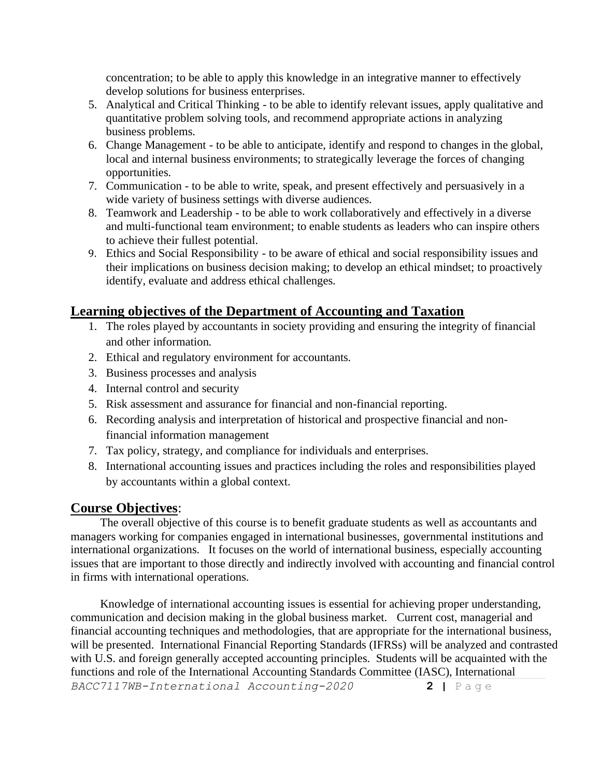concentration; to be able to apply this knowledge in an integrative manner to effectively develop solutions for business enterprises.

- 5. Analytical and Critical Thinking to be able to identify relevant issues, apply qualitative and quantitative problem solving tools, and recommend appropriate actions in analyzing business problems.
- 6. Change Management to be able to anticipate, identify and respond to changes in the global, local and internal business environments; to strategically leverage the forces of changing opportunities.
- 7. Communication to be able to write, speak, and present effectively and persuasively in a wide variety of business settings with diverse audiences.
- 8. Teamwork and Leadership to be able to work collaboratively and effectively in a diverse and multi-functional team environment; to enable students as leaders who can inspire others to achieve their fullest potential.
- 9. Ethics and Social Responsibility to be aware of ethical and social responsibility issues and their implications on business decision making; to develop an ethical mindset; to proactively identify, evaluate and address ethical challenges.

#### **Learning objectives of the Department of Accounting and Taxation**

- 1. The roles played by accountants in society providing and ensuring the integrity of financial and other information.
- 2. Ethical and regulatory environment for accountants.
- 3. Business processes and analysis
- 4. Internal control and security
- 5. Risk assessment and assurance for financial and non-financial reporting.
- 6. Recording analysis and interpretation of historical and prospective financial and nonfinancial information management
- 7. Tax policy, strategy, and compliance for individuals and enterprises.
- 8. International accounting issues and practices including the roles and responsibilities played by accountants within a global context.

#### **Course Objectives**:

The overall objective of this course is to benefit graduate students as well as accountants and managers working for companies engaged in international businesses, governmental institutions and international organizations. It focuses on the world of international business, especially accounting issues that are important to those directly and indirectly involved with accounting and financial control in firms with international operations.

*BACC7117WB-International Accounting-2020* **2 |** P a g e Knowledge of international accounting issues is essential for achieving proper understanding, communication and decision making in the global business market. Current cost, managerial and financial accounting techniques and methodologies, that are appropriate for the international business, will be presented. International Financial Reporting Standards (IFRSs) will be analyzed and contrasted with U.S. and foreign generally accepted accounting principles. Students will be acquainted with the functions and role of the International Accounting Standards Committee (IASC), International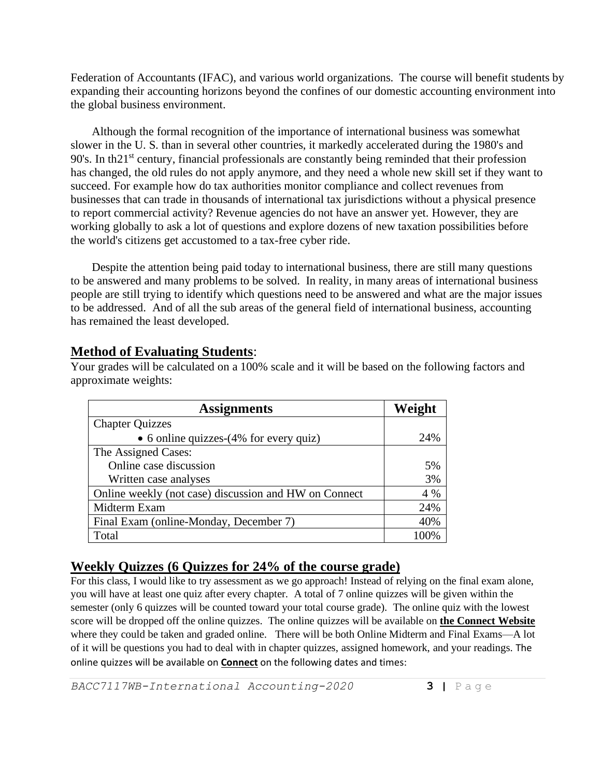Federation of Accountants (IFAC), and various world organizations. The course will benefit students by expanding their accounting horizons beyond the confines of our domestic accounting environment into the global business environment.

Although the formal recognition of the importance of international business was somewhat slower in the U. S. than in several other countries, it markedly accelerated during the 1980's and 90's. In th21<sup>st</sup> century, financial professionals are constantly being reminded that their profession has changed, the old rules do not apply anymore, and they need a whole new skill set if they want to succeed. For example how do tax authorities monitor compliance and collect revenues from businesses that can trade in thousands of international tax jurisdictions without a physical presence to report commercial activity? Revenue agencies do not have an answer yet. However, they are working globally to ask a lot of questions and explore dozens of new taxation possibilities before the world's citizens get accustomed to a tax-free cyber ride.

Despite the attention being paid today to international business, there are still many questions to be answered and many problems to be solved. In reality, in many areas of international business people are still trying to identify which questions need to be answered and what are the major issues to be addressed. And of all the sub areas of the general field of international business, accounting has remained the least developed.

#### **Method of Evaluating Students**:

Your grades will be calculated on a 100% scale and it will be based on the following factors and approximate weights:

| <b>Assignments</b>                                    | Weight |
|-------------------------------------------------------|--------|
| <b>Chapter Quizzes</b>                                |        |
| • 6 online quizzes- $(4\%$ for every quiz)            | 24%    |
| The Assigned Cases:                                   |        |
| Online case discussion                                | 5%     |
| Written case analyses                                 | 3%     |
| Online weekly (not case) discussion and HW on Connect | 4 %    |
| Midterm Exam                                          | 24%    |
| Final Exam (online-Monday, December 7)                | 40%    |
| Total                                                 | 100%   |

#### **Weekly Quizzes (6 Quizzes for 24% of the course grade)**

For this class, I would like to try assessment as we go approach! Instead of relying on the final exam alone, you will have at least one quiz after every chapter. A total of 7 online quizzes will be given within the semester (only 6 quizzes will be counted toward your total course grade). The online quiz with the lowest score will be dropped off the online quizzes. The online quizzes will be available on **the Connect Website** where they could be taken and graded online. There will be both Online Midterm and Final Exams—A lot of it will be questions you had to deal with in chapter quizzes, assigned homework, and your readings. The online quizzes will be available on **Connect** on the following dates and times: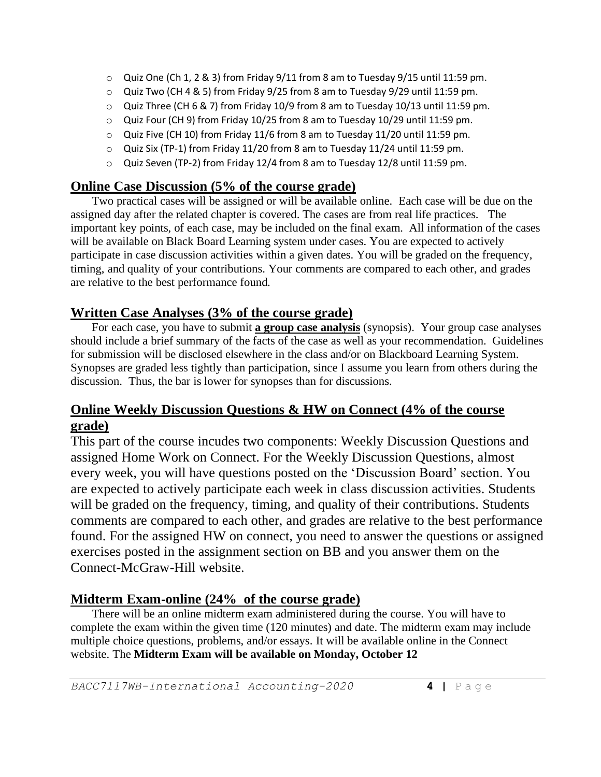- $\circ$  Quiz One (Ch 1, 2 & 3) from Friday 9/11 from 8 am to Tuesday 9/15 until 11:59 pm.
- o Quiz Two (CH 4 & 5) from Friday 9/25 from 8 am to Tuesday 9/29 until 11:59 pm.
- o Quiz Three (CH 6 & 7) from Friday 10/9 from 8 am to Tuesday 10/13 until 11:59 pm.
- o Quiz Four (CH 9) from Friday 10/25 from 8 am to Tuesday 10/29 until 11:59 pm.
- o Quiz Five (CH 10) from Friday 11/6 from 8 am to Tuesday 11/20 until 11:59 pm.
- o Quiz Six (TP-1) from Friday 11/20 from 8 am to Tuesday 11/24 until 11:59 pm.
- o Quiz Seven (TP-2) from Friday 12/4 from 8 am to Tuesday 12/8 until 11:59 pm.

#### **Online Case Discussion (5% of the course grade)**

Two practical cases will be assigned or will be available online. Each case will be due on the assigned day after the related chapter is covered. The cases are from real life practices. The important key points, of each case, may be included on the final exam. All information of the cases will be available on Black Board Learning system under cases. You are expected to actively participate in case discussion activities within a given dates. You will be graded on the frequency, timing, and quality of your contributions. Your comments are compared to each other, and grades are relative to the best performance found.

#### **Written Case Analyses (3% of the course grade)**

For each case, you have to submit **a group case analysis** (synopsis). Your group case analyses should include a brief summary of the facts of the case as well as your recommendation. Guidelines for submission will be disclosed elsewhere in the class and/or on Blackboard Learning System. Synopses are graded less tightly than participation, since I assume you learn from others during the discussion. Thus, the bar is lower for synopses than for discussions.

#### **Online Weekly Discussion Questions & HW on Connect (4% of the course grade)**

This part of the course incudes two components: Weekly Discussion Questions and assigned Home Work on Connect. For the Weekly Discussion Questions, almost every week, you will have questions posted on the 'Discussion Board' section. You are expected to actively participate each week in class discussion activities. Students will be graded on the frequency, timing, and quality of their contributions. Students comments are compared to each other, and grades are relative to the best performance found. For the assigned HW on connect, you need to answer the questions or assigned exercises posted in the assignment section on BB and you answer them on the Connect-McGraw-Hill website.

#### **Midterm Exam-online (24% of the course grade)**

There will be an online midterm exam administered during the course. You will have to complete the exam within the given time (120 minutes) and date. The midterm exam may include multiple choice questions, problems, and/or essays. It will be available online in the Connect website. The **Midterm Exam will be available on Monday, October 12**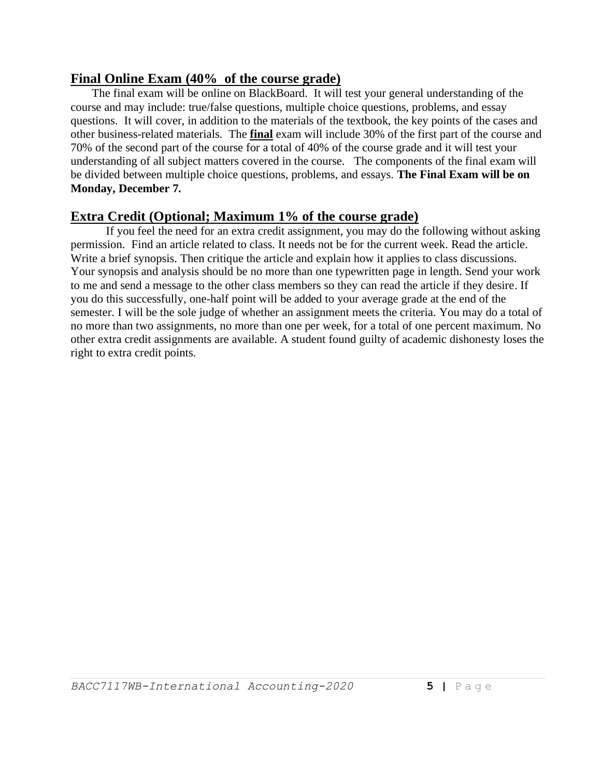#### **Final Online Exam (40% of the course grade)**

The final exam will be online on BlackBoard. It will test your general understanding of the course and may include: true/false questions, multiple choice questions, problems, and essay questions. It will cover, in addition to the materials of the textbook, the key points of the cases and other business-related materials. The **final** exam will include 30% of the first part of the course and 70% of the second part of the course for a total of 40% of the course grade and it will test your understanding of all subject matters covered in the course. The components of the final exam will be divided between multiple choice questions, problems, and essays. **The Final Exam will be on Monday, December 7.**

#### **Extra Credit (Optional; Maximum 1% of the course grade)**

If you feel the need for an extra credit assignment, you may do the following without asking permission. Find an article related to class. It needs not be for the current week. Read the article. Write a brief synopsis. Then critique the article and explain how it applies to class discussions. Your synopsis and analysis should be no more than one typewritten page in length. Send your work to me and send a message to the other class members so they can read the article if they desire. If you do this successfully, one-half point will be added to your average grade at the end of the semester. I will be the sole judge of whether an assignment meets the criteria. You may do a total of no more than two assignments, no more than one per week, for a total of one percent maximum. No other extra credit assignments are available. A student found guilty of academic dishonesty loses the right to extra credit points.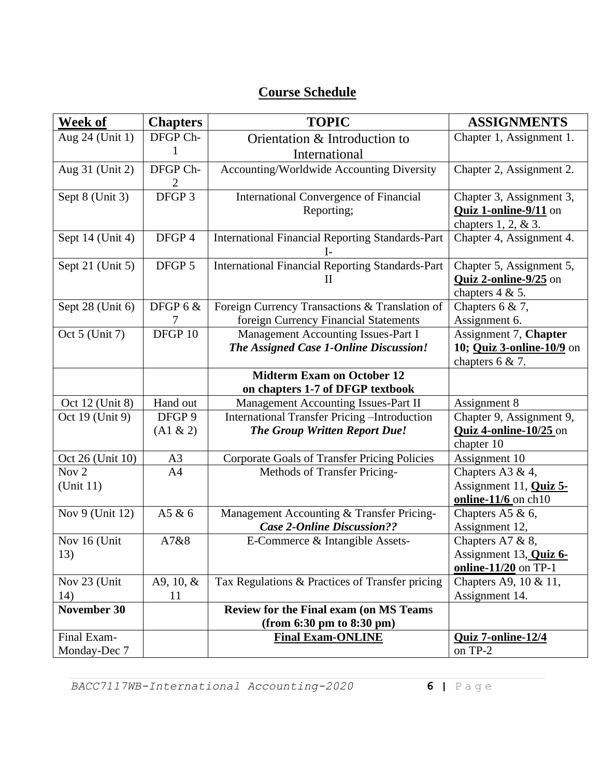## **Course Schedule**

| <b>Week of</b>     | <b>Chapters</b> | <b>TOPIC</b>                                                                   | <b>ASSIGNMENTS</b>                                  |
|--------------------|-----------------|--------------------------------------------------------------------------------|-----------------------------------------------------|
| Aug 24 (Unit 1)    | DFGP Ch-        | Orientation & Introduction to                                                  | Chapter 1, Assignment 1.                            |
|                    |                 | International                                                                  |                                                     |
| Aug 31 (Unit 2)    | DFGP Ch-        | Accounting/Worldwide Accounting Diversity                                      | Chapter 2, Assignment 2.                            |
|                    |                 |                                                                                |                                                     |
| Sept 8 (Unit 3)    | DFGP 3          | International Convergence of Financial                                         | Chapter 3, Assignment 3,                            |
|                    |                 | Reporting;                                                                     | <b>Quiz 1-online-9/11</b> on                        |
| Sept 14 (Unit 4)   | DFGP 4          | <b>International Financial Reporting Standards-Part</b>                        | chapters $1, 2, \& 3$ .<br>Chapter 4, Assignment 4. |
|                    |                 |                                                                                |                                                     |
| Sept 21 (Unit 5)   | DFGP 5          | <b>International Financial Reporting Standards-Part</b>                        | Chapter 5, Assignment 5,                            |
|                    |                 | H                                                                              | <b>Quiz 2-online-9/25</b> on                        |
|                    |                 |                                                                                | chapters $4 & 5$ .                                  |
| Sept 28 (Unit 6)   | DFGP $6 &$      | Foreign Currency Transactions & Translation of                                 | Chapters $6 & 7$ ,                                  |
|                    |                 | foreign Currency Financial Statements                                          | Assignment 6.                                       |
| Oct 5 (Unit 7)     | DFGP 10         | Management Accounting Issues-Part I                                            | Assignment 7, Chapter                               |
|                    |                 | The Assigned Case 1-Online Discussion!                                         | 10; Quiz 3-online-10/9 on<br>chapters $6 & 7$ .     |
|                    |                 | <b>Midterm Exam on October 12</b>                                              |                                                     |
|                    |                 | on chapters 1-7 of DFGP textbook                                               |                                                     |
| Oct 12 (Unit 8)    | Hand out        | Management Accounting Issues-Part II                                           | Assignment 8                                        |
| Oct 19 (Unit 9)    | DFGP 9          | <b>International Transfer Pricing -Introduction</b>                            | Chapter 9, Assignment 9,                            |
|                    | (A1 & 2)        | <b>The Group Written Report Due!</b>                                           | Quiz 4-online-10/25 on                              |
|                    |                 |                                                                                | chapter 10                                          |
| Oct 26 (Unit 10)   | A <sub>3</sub>  | <b>Corporate Goals of Transfer Pricing Policies</b>                            | Assignment 10                                       |
| Nov <sub>2</sub>   | A4              | Methods of Transfer Pricing-                                                   | Chapters A3 & 4,                                    |
| (Unit 11)          |                 |                                                                                | Assignment 11, <b>Quiz 5-</b>                       |
|                    | A5 & 6          |                                                                                | online- $11/6$ on ch10                              |
| Nov 9 (Unit 12)    |                 | Management Accounting & Transfer Pricing-<br><b>Case 2-Online Discussion??</b> | Chapters A5 $\&$ 6,<br>Assignment 12,               |
| Nov 16 (Unit       | A7&8            | E-Commerce & Intangible Assets-                                                | Chapters A7 & 8,                                    |
| 13)                |                 |                                                                                | Assignment 13, Ouiz 6-                              |
|                    |                 |                                                                                | online- $11/20$ on TP-1                             |
| Nov 23 (Unit       | A9, 10, $&$     | Tax Regulations & Practices of Transfer pricing                                | Chapters A9, 10 & 11,                               |
| 14)                | 11              |                                                                                | Assignment 14.                                      |
| <b>November 30</b> |                 | <b>Review for the Final exam (on MS Teams)</b>                                 |                                                     |
|                    |                 | (from $6:30 \text{ pm}$ to $8:30 \text{ pm}$ )                                 |                                                     |
| Final Exam-        |                 | <b>Final Exam-ONLINE</b>                                                       | <b>Quiz 7-online-12/4</b>                           |
| Monday-Dec 7       |                 |                                                                                | on TP-2                                             |

*BACC7117WB-International Accounting-2020* **6 |** P a g e